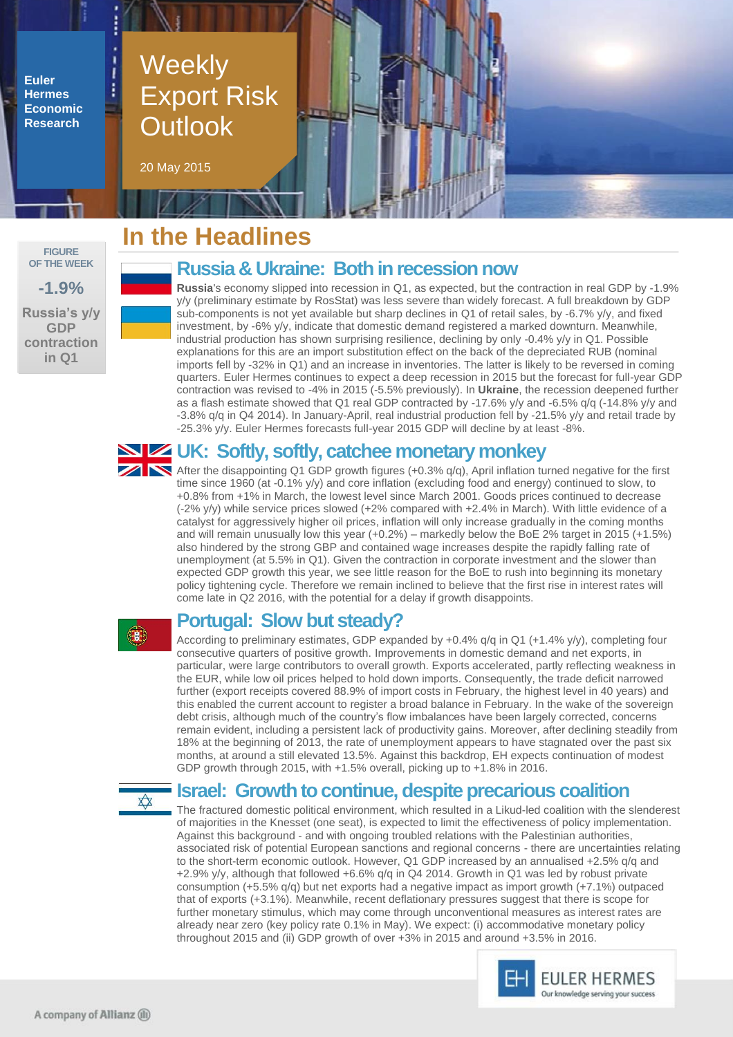**Euler Hermes Economic Research**

# Weekly Export Risk **Outlook**

20 May 2015

#### **FIGURE OF THE WEEK -1.9% Russia's y/y GDP contraction in Q1**

# **In the Headlines**

## **Russia & Ukraine: Both in recession now**

**Russia**'s economy slipped into recession in Q1, as expected, but the contraction in real GDP by -1.9% y/y (preliminary estimate by RosStat) was less severe than widely forecast. A full breakdown by GDP sub-components is not yet available but sharp declines in Q1 of retail sales, by -6.7% y/y, and fixed investment, by -6% y/y, indicate that domestic demand registered a marked downturn. Meanwhile, industrial production has shown surprising resilience, declining by only -0.4% y/y in Q1. Possible explanations for this are an import substitution effect on the back of the depreciated RUB (nominal imports fell by -32% in Q1) and an increase in inventories. The latter is likely to be reversed in coming quarters. Euler Hermes continues to expect a deep recession in 2015 but the forecast for full-year GDP contraction was revised to -4% in 2015 (-5.5% previously). In **Ukraine**, the recession deepened further as a flash estimate showed that Q1 real GDP contracted by -17.6% y/y and -6.5% q/q (-14.8% y/y and -3.8% q/q in Q4 2014). In January-April, real industrial production fell by -21.5% y/y and retail trade by -25.3% y/y. Euler Hermes forecasts full-year 2015 GDP will decline by at least -8%.

## **UK: Softly, softly, catchee monetary monkey**

After the disappointing Q1 GDP growth figures (+0.3% q/q), April inflation turned negative for the first time since 1960 (at -0.1% y/y) and core inflation (excluding food and energy) continued to slow, to +0.8% from +1% in March, the lowest level since March 2001. Goods prices continued to decrease (-2% y/y) while service prices slowed (+2% compared with +2.4% in March). With little evidence of a catalyst for aggressively higher oil prices, inflation will only increase gradually in the coming months and will remain unusually low this year (+0.2%) – markedly below the BoE 2% target in 2015 (+1.5%) also hindered by the strong GBP and contained wage increases despite the rapidly falling rate of unemployment (at 5.5% in Q1). Given the contraction in corporate investment and the slower than expected GDP growth this year, we see little reason for the BoE to rush into beginning its monetary policy tightening cycle. Therefore we remain inclined to believe that the first rise in interest rates will come late in Q2 2016, with the potential for a delay if growth disappoints.

# **B**

### **Portugal: Slow but steady?**

According to preliminary estimates, GDP expanded by +0.4% q/q in Q1 (+1.4% y/y), completing four consecutive quarters of positive growth. Improvements in domestic demand and net exports, in particular, were large contributors to overall growth. Exports accelerated, partly reflecting weakness in the EUR, while low oil prices helped to hold down imports. Consequently, the trade deficit narrowed further (export receipts covered 88.9% of import costs in February, the highest level in 40 years) and this enabled the current account to register a broad balance in February. In the wake of the sovereign debt crisis, although much of the country's flow imbalances have been largely corrected, concerns remain evident, including a persistent lack of productivity gains. Moreover, after declining steadily from 18% at the beginning of 2013, the rate of unemployment appears to have stagnated over the past six months, at around a still elevated 13.5%. Against this backdrop, EH expects continuation of modest GDP growth through 2015, with +1.5% overall, picking up to +1.8% in 2016.

# $\overrightarrow{\mathbf{X}}$

#### **Israel: Growth to continue, despite precarious coalition**

The fractured domestic political environment, which resulted in a Likud-led coalition with the slenderest of majorities in the Knesset (one seat), is expected to limit the effectiveness of policy implementation. Against this background - and with ongoing troubled relations with the Palestinian authorities, associated risk of potential European sanctions and regional concerns - there are uncertainties relating to the short-term economic outlook. However, Q1 GDP increased by an annualised +2.5% q/q and +2.9% y/y, although that followed +6.6% q/q in Q4 2014. Growth in Q1 was led by robust private consumption (+5.5% q/q) but net exports had a negative impact as import growth (+7.1%) outpaced that of exports (+3.1%). Meanwhile, recent deflationary pressures suggest that there is scope for further monetary stimulus, which may come through unconventional measures as interest rates are already near zero (key policy rate 0.1% in May). We expect: (i) accommodative monetary policy throughout 2015 and (ii) GDP growth of over +3% in 2015 and around +3.5% in 2016.